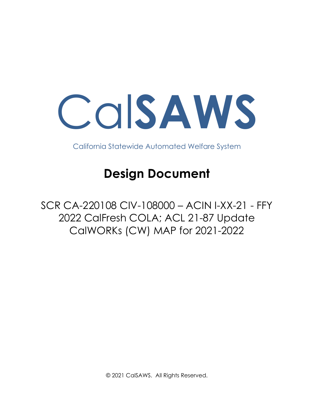Cal**SAWS**

California Statewide Automated Welfare System

## **Design Document**

SCR CA-220108 CIV-108000 – ACIN I-XX-21 - FFY 2022 CalFresh COLA; ACL 21-87 Update CalWORKs (CW) MAP for 2021-2022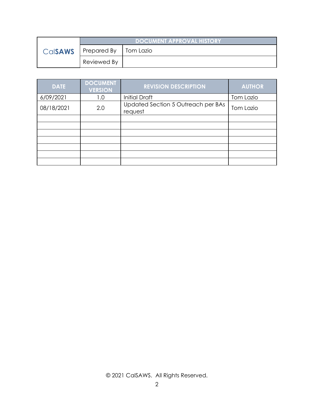|                | <b>DOCUMENT APPROVAL HISTORY</b> |  |
|----------------|----------------------------------|--|
| <b>Calsaws</b> | Prepared By   Tom Lazio          |  |
|                | Reviewed By                      |  |

| <b>DATE</b> | <b>DOCUMENT</b><br><b>VERSION</b> | <b>REVISION DESCRIPTION</b>                   | <b>AUTHOR</b> |
|-------------|-----------------------------------|-----------------------------------------------|---------------|
| 6/09/2021   | 1.0                               | <b>Initial Draft</b>                          | Tom Lazio     |
| 08/18/2021  | 2.0                               | Updated Section 5 Outreach per BAs<br>request | Tom Lazio     |
|             |                                   |                                               |               |
|             |                                   |                                               |               |
|             |                                   |                                               |               |
|             |                                   |                                               |               |
|             |                                   |                                               |               |
|             |                                   |                                               |               |
|             |                                   |                                               |               |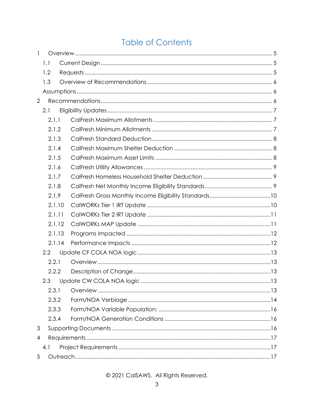## **Table of Contents**

| $\mathbf{1}$   |        |  |  |
|----------------|--------|--|--|
|                | 1.1    |  |  |
|                | 1.2    |  |  |
|                | 1.3    |  |  |
|                |        |  |  |
| $\overline{2}$ |        |  |  |
|                | 2.1    |  |  |
|                | 2.1.1  |  |  |
|                | 2.1.2  |  |  |
|                | 2.1.3  |  |  |
|                | 2.1.4  |  |  |
|                | 2.1.5  |  |  |
|                | 2.1.6  |  |  |
|                | 2.1.7  |  |  |
|                | 2.1.8  |  |  |
|                | 2.1.9  |  |  |
|                | 2.1.10 |  |  |
|                | 2.1.11 |  |  |
|                | 2.1.12 |  |  |
|                | 2.1.13 |  |  |
|                | 2.1.14 |  |  |
|                | 2.2    |  |  |
|                | 2.2.1  |  |  |
|                | 2.2.2  |  |  |
|                | 2.3    |  |  |
|                | 2.3.1  |  |  |
|                | 2.3.2  |  |  |
|                | 2.3.3  |  |  |
|                | 2.3.4  |  |  |
| 3              |        |  |  |
| 4              |        |  |  |
|                | 4.1    |  |  |
| 5              |        |  |  |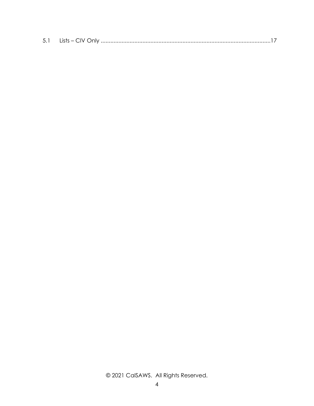|--|--|--|--|--|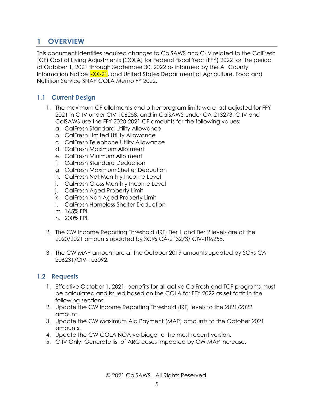## <span id="page-4-0"></span>**1 OVERVIEW**

This document identifies required changes to CalSAWS and C-IV related to the CalFresh (CF) Cost of Living Adjustments (COLA) for Federal Fiscal Year (FFY) 2022 for the period of October 1, 2021 through September 30, 2022 as informed by the All County Information Notice I-XX-21, and United States Department of Agriculture, Food and Nutrition Service SNAP COLA Memo FY 2022.

#### <span id="page-4-1"></span>**1.1 Current Design**

- 1. The maximum CF allotments and other program limits were last adjusted for FFY 2021 in C-IV under CIV-106258, and in CalSAWS under CA-213273. C-IV and CalSAWS use the FFY 2020-2021 CF amounts for the following values:
	- a. CalFresh Standard Utility Allowance
	- b. CalFresh Limited Utility Allowance
	- c. CalFresh Telephone Utility Allowance
	- d. CalFresh Maximum Allotment
	- e. CalFresh Minimum Allotment
	- f. CalFresh Standard Deduction
	- g. CalFresh Maximum Shelter Deduction
	- h. CalFresh Net Monthly Income Level
	- i. CalFresh Gross Monthly Income Level
	- j. CalFresh Aged Property Limit
	- k. CalFresh Non-Aged Property Limit
	- l. CalFresh Homeless Shelter Deduction
	- m. 165% FPL
	- n. 200% FPL
- 2. The CW Income Reporting Threshold (IRT) Tier 1 and Tier 2 levels are at the 2020/2021 amounts updated by SCRs CA-213273/ CIV-106258.
- 3. The CW MAP amount are at the October 2019 amounts updated by SCRs [CA-](https://change.calsaws.net/browse/CA-206231)[206231/](https://change.calsaws.net/browse/CA-206231)CIV-103092.

#### <span id="page-4-2"></span>**1.2 Requests**

- 1. Effective October 1, 2021, benefits for all active CalFresh and TCF programs must be calculated and issued based on the COLA for FFY 2022 as set forth in the following sections.
- 2. Update the CW Income Reporting Threshold (IRT) levels to the 2021/2022 amount.
- 3. Update the CW Maximum Aid Payment (MAP) amounts to the October 2021 amounts.
- 4. Update the CW COLA NOA verbiage to the most recent version.
- 5. C-IV Only: Generate list of ARC cases impacted by CW MAP increase.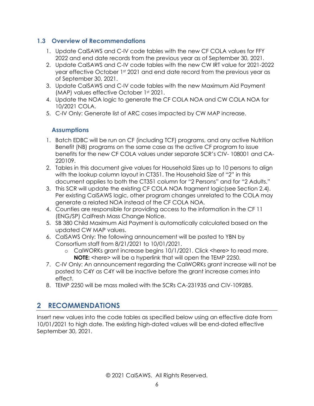#### <span id="page-5-0"></span>**1.3 Overview of Recommendations**

- 1. Update CalSAWS and C-IV code tables with the new CF COLA values for FFY 2022 and end date records from the previous year as of September 30, 2021.
- 2. Update CalSAWS and C-IV code tables with the new CW IRT value for 2021-2022 year effective October 1st 2021 and end date record from the previous year as of September 30, 2021.
- 3. Update CalSAWS and C-IV code tables with the new Maximum Aid Payment (MAP) values effective October 1st 2021.
- 4. Update the NOA logic to generate the CF COLA NOA and CW COLA NOA for 10/2021 COLA.
- <span id="page-5-1"></span>5. C-IV Only: Generate list of ARC cases impacted by CW MAP increase.

#### **Assumptions**

- 1. Batch EDBC will be run on CF (including TCF) programs, and any active Nutrition Benefit (NB) programs on the same case as the active CF program to issue benefits for the new CF COLA values under separate SCR's CIV- 108001 and CA-220109.
- 2. Tables in this document give values for Household Sizes up to 10 persons to align with the lookup column layout in CT351. The Household Size of "2" in this document applies to both the CT351 column for "2 Persons" and for "2 Adults."
- 3. This SCR will update the existing CF COLA NOA fragment logic(see Section 2.4). Per existing CalSAWS logic, other program changes unrelated to the COLA may generate a related NOA instead of the CF COLA NOA.
- 4. Counties are responsible for providing access to the information in the CF 11 (ENG/SP) CalFresh Mass Change Notice.
- 5. SB 380 Child Maximum Aid Payment is automatically calculated based on the updated CW MAP values.
- 6. CalSAWS Only: The following announcement will be posted to YBN by Consortium staff from 8/21/2021 to 10/01/2021.
	- o CalWORKs grant increase begins 10/1/2021. Click <here> to read more. **NOTE:** <here> will be a hyperlink that will open the TEMP 2250.
- 7. C-IV Only: An announcement regarding the CalWORKs grant increase will not be posted to C4Y as C4Y will be inactive before the grant increase comes into effect.
- 8. TEMP 2250 will be mass mailed with the SCRs CA-231935 and CIV-109285.

## <span id="page-5-2"></span>**2 RECOMMENDATIONS**

Insert new values into the code tables as specified below using an effective date from 10/01/2021 to high date. The existing high-dated values will be end-dated effective September 30, 2021.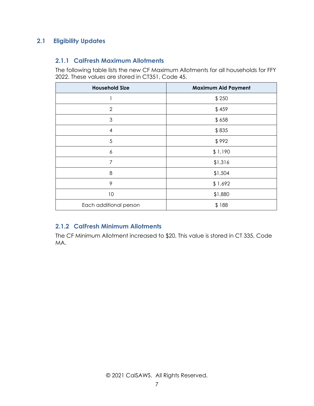#### <span id="page-6-1"></span><span id="page-6-0"></span>**2.1 Eligibility Updates**

#### **2.1.1 CalFresh Maximum Allotments**

The following table lists the new CF Maximum Allotments for all households for FFY 2022. These values are stored in CT351, Code 45.

| <b>Household Size</b>  | <b>Maximum Aid Payment</b> |
|------------------------|----------------------------|
|                        | \$250                      |
| $\overline{2}$         | \$459                      |
| 3                      | \$658                      |
| 4                      | \$835                      |
| 5                      | \$992                      |
| 6                      | \$1,190                    |
| 7                      | \$1,316                    |
| 8                      | \$1,504                    |
| 9                      | \$1,692                    |
| 10                     | \$1,880                    |
| Each additional person | \$188                      |

#### <span id="page-6-2"></span>**2.1.2 CalFresh Minimum Allotments**

The CF Minimum Allotment increased to \$20. This value is stored in CT 335, Code MA.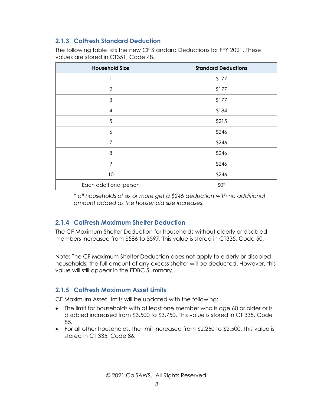#### <span id="page-7-0"></span>**2.1.3 CalFresh Standard Deduction**

The following table lists the new CF Standard Deductions for FFY 2021. These values are stored in CT351, Code 48.

| <b>Household Size</b>  | <b>Standard Deductions</b> |
|------------------------|----------------------------|
|                        | \$177                      |
| $\overline{2}$         | \$177                      |
| 3                      | \$177                      |
| $\overline{4}$         | \$184                      |
| 5                      | \$215                      |
| $\boldsymbol{6}$       | \$246                      |
| 7                      | \$246                      |
| 8                      | \$246                      |
| 9                      | \$246                      |
| 10                     | \$246                      |
| Each additional person | $$0^*$                     |

*\* all households of six or more get a \$246 deduction with no additional amount added as the household size increases.*

#### <span id="page-7-1"></span>**2.1.4 CalFresh Maximum Shelter Deduction**

The CF Maximum Shelter Deduction for households without elderly or disabled members increased from \$586 to \$597. This value is stored in CT335, Code 50.

Note: The CF Maximum Shelter Deduction does not apply to elderly or disabled households; the full amount of any excess shelter will be deducted. However, this value will still appear in the EDBC Summary.

#### <span id="page-7-2"></span>**2.1.5 CalFresh Maximum Asset Limits**

CF Maximum Asset Limits will be updated with the following:

- The limit for households with at least one member who is age 60 or older or is disabled increased from \$3,500 to \$3,750. This value is stored in CT 335, Code 85.
- For all other households, the limit increased from \$2,250 to \$2,500. This value is stored in CT 335, Code 86.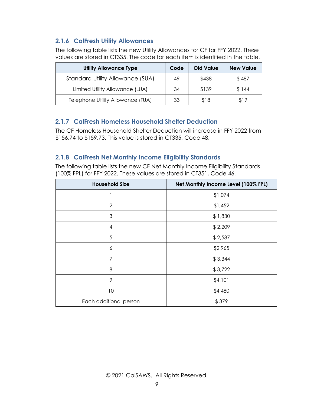#### <span id="page-8-0"></span>**2.1.6 CalFresh Utility Allowances**

The following table lists the new Utility Allowances for CF for FFY 2022. These values are stored in CT335. The code for each item is identified in the table.

| <b>Utility Allowance Type</b>           | Code | Old Value | <b>New Value</b> |
|-----------------------------------------|------|-----------|------------------|
| <b>Standard Utility Allowance (SUA)</b> | 49   | \$438     | \$487            |
| Limited Utility Allowance (LUA)         | 34   | \$139     | \$144            |
| Telephone Utility Allowance (TUA)       | 33   | \$18      | \$19             |

#### <span id="page-8-1"></span>**2.1.7 CalFresh Homeless Household Shelter Deduction**

The CF Homeless Household Shelter Deduction will increase in FFY 2022 from \$156.74 to \$159.73. This value is stored in CT335, Code 48.

#### <span id="page-8-2"></span>**2.1.8 CalFresh Net Monthly Income Eligibility Standards**

The following table lists the new CF Net Monthly Income Eligibility Standards (100% FPL) for FFY 2022. These values are stored in CT351, Code 46.

| <b>Household Size</b>  | Net Monthly Income Level (100% FPL) |
|------------------------|-------------------------------------|
|                        | \$1,074                             |
| $\overline{2}$         | \$1,452                             |
| 3                      | \$1,830                             |
| $\overline{4}$         | \$2,209                             |
| 5                      | \$2,587                             |
| 6                      | \$2,965                             |
| 7                      | \$3,344                             |
| 8                      | \$3,722                             |
| 9                      | \$4,101                             |
| 10                     | \$4,480                             |
| Each additional person | \$379                               |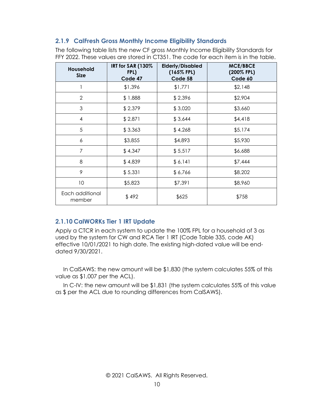#### <span id="page-9-0"></span>**2.1.9 CalFresh Gross Monthly Income Eligibility Standards**

The following table lists the new CF gross Monthly Income Eligibility Standards for FFY 2022. These values are stored in CT351. The code for each item is in the table.

| Household<br><b>Size</b>  | IRT for SAR (130%<br>FPL)<br>Code 47 | <b>Elderly/Disabled</b><br>$(165\%$ FPL)<br>Code 58 | <b>MCE/BBCE</b><br>(200% FPL)<br>Code 60 |
|---------------------------|--------------------------------------|-----------------------------------------------------|------------------------------------------|
| 1                         | \$1,396                              | \$1,771                                             | \$2,148                                  |
| $\overline{2}$            | \$1,888                              | \$2,396                                             | \$2,904                                  |
| 3                         | \$2,379                              | \$3,020                                             | \$3,660                                  |
| 4                         | \$2,871                              | \$3,644                                             | \$4,418                                  |
| 5                         | \$3,363                              | \$4,268                                             | \$5,174                                  |
| 6                         | \$3,855                              | \$4,893                                             | \$5,930                                  |
| 7                         | \$4,347                              | \$5,517                                             | \$6,688                                  |
| 8                         | \$4,839                              | \$6,141                                             | \$7,444                                  |
| 9                         | \$5,331                              | \$6,766                                             | \$8,202                                  |
| 10                        | \$5,823                              | \$7,391                                             | \$8,960                                  |
| Each additional<br>member | \$492                                | \$625                                               | \$758                                    |

#### <span id="page-9-1"></span>**2.1.10 CalWORKs Tier 1 IRT Update**

Apply a CTCR in each system to update the 100% FPL for a household of 3 as used by the system for CW and RCA Tier 1 IRT (Code Table 335, code AK) effective 10/01/2021 to high date. The existing high-dated value will be enddated 9/30/2021.

 In CalSAWS: the new amount will be \$1,830 (the system calculates 55% of this value as \$1,007 per the ACL).

 In C-IV: the new amount will be \$1,831 (the system calculates 55% of this value as \$ per the ACL due to rounding differences from CalSAWS).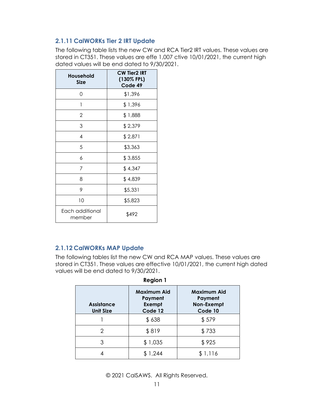#### <span id="page-10-0"></span>**2.1.11 CalWORKs Tier 2 IRT Update**

The following table lists the new CW and RCA Tier2 IRT values. These values are stored in CT351. These values are effe 1,007 ctive 10/01/2021, the current high dated values will be end dated to 9/30/2021.

| Household<br><b>Size</b>  | <b>CW Tier2 IRT</b><br>(130% FPL)<br>Code 49 |
|---------------------------|----------------------------------------------|
| O                         | \$1,396                                      |
| 1                         | \$1,396                                      |
| 2                         | \$1,888                                      |
| 3                         | \$2,379                                      |
| 4                         | \$2,871                                      |
| 5                         | \$3,363                                      |
| 6                         | \$3,855                                      |
| 7                         | \$4,347                                      |
| 8                         | \$4,839                                      |
| 9                         | \$5,331                                      |
| 10                        | \$5,823                                      |
| Each additional<br>member | \$492                                        |

#### <span id="page-10-1"></span>**2.1.12 CalWORKs MAP Update**

The following tables list the new CW and RCA MAP values. These values are stored in CT351. These values are effective 10/01/2021, the current high dated values will be end dated to 9/30/2021.

| <b>Region 1</b>                       |                                                           |                                                        |  |  |
|---------------------------------------|-----------------------------------------------------------|--------------------------------------------------------|--|--|
| <b>Assistance</b><br><b>Unit Size</b> | <b>Maximum Aid</b><br>Payment<br><b>Exempt</b><br>Code 12 | <b>Maximum Aid</b><br>Payment<br>Non-Exempt<br>Code 10 |  |  |
|                                       | \$638                                                     | \$579                                                  |  |  |
| 2                                     | \$819                                                     | \$733                                                  |  |  |
| 3                                     | \$1,035                                                   | \$925                                                  |  |  |
|                                       | \$1,244                                                   | \$1,116                                                |  |  |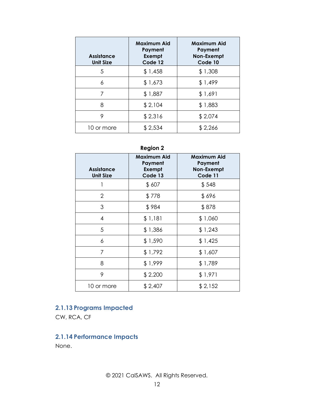| <b>Assistance</b><br><b>Unit Size</b> | <b>Maximum Aid</b><br>Payment<br><b>Exempt</b><br>Code 12 | <b>Maximum Aid</b><br>Payment<br>Non-Exempt<br>Code 10 |
|---------------------------------------|-----------------------------------------------------------|--------------------------------------------------------|
| 5                                     | \$1,458                                                   | \$1,308                                                |
| 6                                     | \$1,673                                                   | \$1,499                                                |
| 7                                     | \$1,887                                                   | \$1,691                                                |
| 8                                     | \$2,104                                                   | \$1,883                                                |
| 9                                     | \$2,316                                                   | \$2,074                                                |
| 10 or more                            | \$2,534                                                   | \$2,266                                                |

## **Region 2**

| <b>Assistance</b><br><b>Unit Size</b> | Maximum Aid<br>Payment<br><b>Exempt</b><br>Code 13 | Maximum Aid<br>Payment<br>Non-Exempt<br>Code 11 |
|---------------------------------------|----------------------------------------------------|-------------------------------------------------|
|                                       | \$607                                              | \$548                                           |
| $\overline{2}$                        | \$778                                              | \$696                                           |
| 3                                     | \$984                                              | \$878                                           |
| $\overline{4}$                        | \$1,181                                            | \$1,060                                         |
| 5                                     | \$1,386                                            | \$1,243                                         |
| 6                                     | \$1,590                                            | \$1,425                                         |
| 7                                     | \$1,792                                            | \$1,607                                         |
| 8                                     | \$1,999                                            | \$1,789                                         |
| 9                                     | \$2,200                                            | \$1,971                                         |
| 10 or more                            | \$2,407                                            | \$2,152                                         |

## <span id="page-11-0"></span>**2.1.13 Programs Impacted**

<span id="page-11-1"></span>CW, RCA, CF

## **2.1.14 Performance Impacts**

None.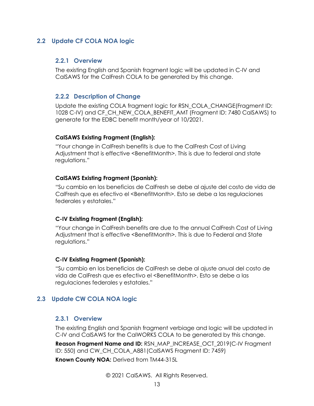#### <span id="page-12-1"></span><span id="page-12-0"></span>**2.2 Update CF COLA NOA logic**

#### **2.2.1 Overview**

The existing English and Spanish fragment logic will be updated in C-IV and CalSAWS for the CalFresh COLA to be generated by this change.

#### <span id="page-12-2"></span>**2.2.2 Description of Change**

Update the existing COLA fragment logic for RSN\_COLA\_CHANGE(Fragment ID: 1028 C-IV) and CF\_CH\_NEW\_COLA\_BENEFIT\_AMT (Fragment ID: 7480 CalSAWS) to generate for the EDBC benefit month/year of 10/2021.

#### **CalSAWS Existing Fragment (English):**

"Your change in CalFresh benefits is due to the CalFresh Cost of Living Adjustment that is effective <BenefitMonth>. This is due to federal and state regulations."

#### **CalSAWS Existing Fragment (Spanish):**

"Su cambio en los beneficios de CalFresh se debe al ajuste del costo de vida de CalFresh que es efectivo el <BenefitMonth>. Esto se debe a las regulaciones federales y estatales."

#### **C-IV Existing Fragment (English):**

"Your change in CalFresh benefits are due to the annual CalFresh Cost of Living Adjustment that is effective <BenefitMonth>. This is due to Federal and State regulations."

#### **C-IV Existing Fragment (Spanish):**

"Su cambio en los beneficios de CalFresh se debe al ajuste anual del costo de vida de CalFresh que es efectivo el <BenefitMonth>. Esto se debe a las regulaciones federales y estatales."

#### <span id="page-12-4"></span><span id="page-12-3"></span>**2.3 Update CW COLA NOA logic**

#### **2.3.1 Overview**

The existing English and Spanish fragment verbiage and logic will be updated in C-IV and CalSAWS for the CalWORKS COLA to be generated by this change.

**Reason Fragment Name and ID:** RSN\_MAP\_INCREASE\_OCT\_2019(C-IV Fragment ID: 550) and CW\_CH\_COLA\_A881(CalSAWS Fragment ID: 7459)

**Known County NOA:** Derived from TM44-315L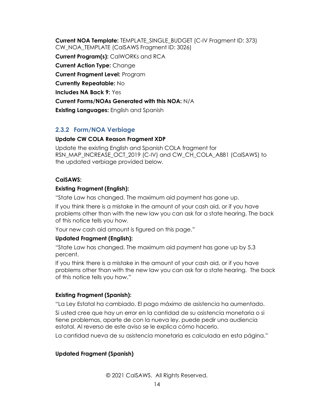**Current NOA Template:** TEMPLATE\_SINGLE\_BUDGET (C-IV Fragment ID: 373) CW\_NOA\_TEMPLATE (CalSAWS Fragment ID: 3026) **Current Program(s):** CalWORKs and RCA **Current Action Type:** Change **Current Fragment Level:** Program **Currently Repeatable:** No **Includes NA Back 9:** Yes **Current Forms/NOAs Generated with this NOA:** N/A **Existing Languages:** English and Spanish

#### <span id="page-13-0"></span>**2.3.2 Form/NOA Verbiage**

#### **Update CW COLA Reason Fragment XDP**

Update the existing English and Spanish COLA fragment for RSN\_MAP\_INCREASE\_OCT\_2019 (C-IV) and CW\_CH\_COLA\_A881 (CalSAWS) to the updated verbiage provided below.

#### **CalSAWS:**

#### **Existing Fragment (English):**

"State Law has changed. The maximum aid payment has gone up.

If you think there is a mistake in the amount of your cash aid, or if you have problems other than with the new law you can ask for a state hearing. The back of this notice tells you how.

Your new cash aid amount is figured on this page."

#### **Updated Fragment (English):**

"State Law has changed. The maximum aid payment has gone up by 5.3 percent.

If you think there is a mistake in the amount of your cash aid, or if you have problems other than with the new law you can ask for a state hearing. The back of this notice tells you how."

#### **Existing Fragment (Spanish):**

"La Ley Estatal ha cambiado. El pago máximo de asistencia ha aumentado.

Si usted cree que hay un error en la cantidad de su asistencia monetaria o si tiene problemas, aparte de con la nueva ley, puede pedir una audiencia estatal. Al reverso de este aviso se le explica cómo hacerlo.

La cantidad nueva de su asistencia monetaria es calculada en esta página."

#### **Updated Fragment (Spanish)**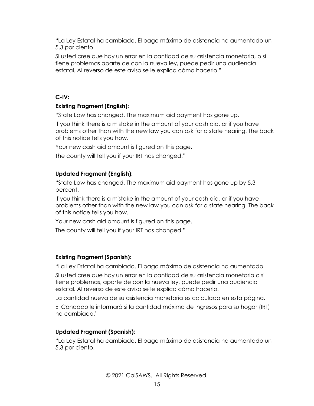"La Ley Estatal ha cambiado. El pago máximo de asistencia ha aumentado un 5.3 por ciento.

Si usted cree que hay un error en la cantidad de su asistencia monetaria, o si tiene problemas aparte de con la nueva ley, puede pedir una audiencia estatal. Al reverso de este aviso se le explica cómo hacerlo."

#### **C-IV:**

#### **Existing Fragment (English):**

"State Law has changed. The maximum aid payment has gone up.

If you think there is a mistake in the amount of your cash aid, or if you have problems other than with the new law you can ask for a state hearing. The back of this notice tells you how.

Your new cash aid amount is figured on this page.

The county will tell you if your IRT has changed."

#### **Updated Fragment (English):**

"State Law has changed. The maximum aid payment has gone up by 5.3 percent.

If you think there is a mistake in the amount of your cash aid, or if you have problems other than with the new law you can ask for a state hearing. The back of this notice tells you how.

Your new cash aid amount is figured on this page.

The county will tell you if your IRT has changed."

#### **Existing Fragment (Spanish):**

"La Ley Estatal ha cambiado. El pago máximo de asistencia ha aumentado.

Si usted cree que hay un error en la cantidad de su asistencia monetaria o si tiene problemas, aparte de con la nueva ley, puede pedir una audiencia estatal. Al reverso de este aviso se le explica cómo hacerlo.

La cantidad nueva de su asistencia monetaria es calculada en esta página.

El Condado le informará si la cantidad máxima de ingresos para su hogar (IRT) ha cambiado."

#### **Updated Fragment (Spanish):**

"La Ley Estatal ha cambiado. El pago máximo de asistencia ha aumentado un 5.3 por ciento.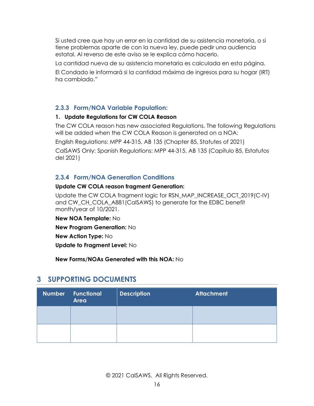Si usted cree que hay un error en la cantidad de su asistencia monetaria, o si tiene problemas aparte de con la nueva ley, puede pedir una audiencia estatal. Al reverso de este aviso se le explica cómo hacerlo.

La cantidad nueva de su asistencia monetaria es calculada en esta página.

El Condado le informará si la cantidad máxima de ingresos para su hogar (IRT) ha cambiado."

#### <span id="page-15-0"></span>**2.3.3 Form/NOA Variable Population:**

#### **1. Update Regulations for CW COLA Reason**

The CW COLA reason has new associated Regulations. The following Regulations will be added when the CW COLA Reason is generated on a NOA:

English Regulations: MPP 44-315, AB 135 (Chapter 85, Statutes of 2021)

CalSAWS Only: Spanish Regulations: MPP 44-315, AB 135 (Capítulo 85, Estatutos del 2021)

#### <span id="page-15-1"></span>**2.3.4 Form/NOA Generation Conditions**

#### **Update CW COLA reason fragment Generation:**

Update the CW COLA fragment logic for RSN\_MAP\_INCREASE\_OCT\_2019(C-IV) and CW\_CH\_COLA\_A881(CalSAWS) to generate for the EDBC benefit month/year of 10/2021.

**New NOA Template:** No

**New Program Generation:** No

**New Action Type:** No

**Update to Fragment Level:** No

**New Forms/NOAs Generated with this NOA:** No

## <span id="page-15-2"></span>**3 SUPPORTING DOCUMENTS**

| Number Functional<br><b>Area</b> | <b>Description</b> | <b>Attachment</b> |
|----------------------------------|--------------------|-------------------|
|                                  |                    |                   |
|                                  |                    |                   |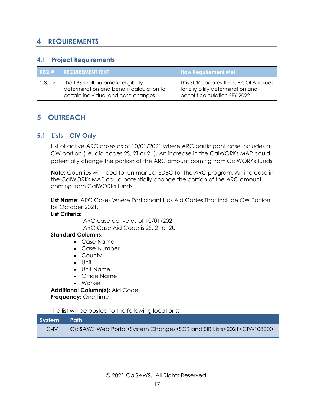## <span id="page-16-0"></span>**4 REQUIREMENTS**

#### <span id="page-16-1"></span>**4.1 Project Requirements**

| REO#     | <b>I REQUIREMENT TEXT</b>                                                                                               | <b>How Requirement Met</b>                                                                                |
|----------|-------------------------------------------------------------------------------------------------------------------------|-----------------------------------------------------------------------------------------------------------|
| 2.8.1.21 | The LRS shall automate eligibility<br>determination and benefit calculation for<br>certain individual and case changes. | This SCR updates the CF COLA values<br>for eligibility determination and<br>benefit calculation FFY 2022. |

## <span id="page-16-2"></span>**5 OUTREACH**

#### <span id="page-16-3"></span>**5.1 Lists – CIV Only**

List of active ARC cases as of 10/01/2021 where ARC participant case includes a CW portion (i.e. aid codes 2S, 2T or 2U). An increase in the CalWORKs MAP could potentially change the portion of the ARC amount coming from CalWORKs funds.

**Note:** Counties will need to run manual EDBC for the ARC program. An increase in the CalWORKs MAP could potentially change the portion of the ARC amount coming from CalWORKs funds.

**List Name:** ARC Cases Where Participant Has Aid Codes That Include CW Portion for October 2021.

#### **List Criteria:**

- ARC case active as of 10/01/2021
	- ARC Case Aid Code is 2S, 2T or 2U

#### **Standard Columns:**

- Case Name
- Case Number
- County
- Unit
- Unit Name
- Office Name
- Worker

**Additional Column(s):** Aid Code **Frequency:** One-time

The list will be posted to the following locations:

| System Path |                                                                     |
|-------------|---------------------------------------------------------------------|
| $C$ -IV     | CalSAWS Web Portal>System Changes>SCR and SIR Lists>2021>CIV-108000 |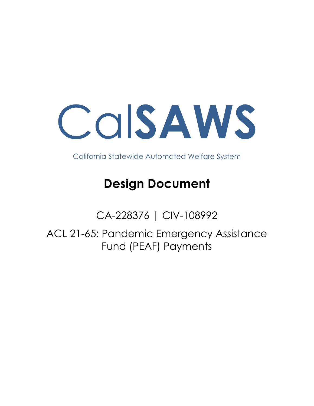

California Statewide Automated Welfare System

# **Design Document**

CA-228376 | CIV-108992

ACL 21-65: Pandemic Emergency Assistance Fund (PEAF) Payments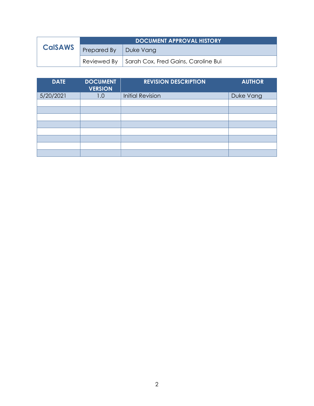|                | <b>DOCUMENT APPROVAL HISTORY</b> |                                                   |  |
|----------------|----------------------------------|---------------------------------------------------|--|
| <b>CalSAWS</b> | Prepared By<br>  Duke Vang       |                                                   |  |
|                |                                  | Reviewed By   Sarah Cox, Fred Gains, Caroline Bui |  |

| <b>DATE</b> | <b>DOCUMENT</b><br><b>VERSION</b> | <b>REVISION DESCRIPTION</b> | <b>AUTHOR</b> |
|-------------|-----------------------------------|-----------------------------|---------------|
| 5/20/2021   | 1.0                               | <b>Initial Revision</b>     | Duke Vang     |
|             |                                   |                             |               |
|             |                                   |                             |               |
|             |                                   |                             |               |
|             |                                   |                             |               |
|             |                                   |                             |               |
|             |                                   |                             |               |
|             |                                   |                             |               |
|             |                                   |                             |               |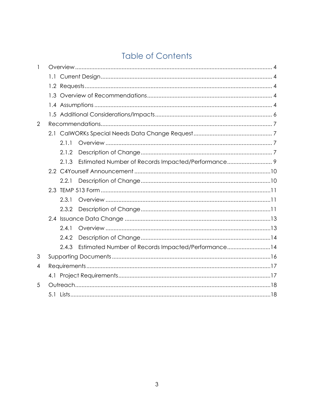## **Table of Contents**

| 1 |       |                                                    |  |
|---|-------|----------------------------------------------------|--|
|   |       |                                                    |  |
|   |       |                                                    |  |
|   |       |                                                    |  |
|   |       |                                                    |  |
|   |       |                                                    |  |
| 2 |       |                                                    |  |
|   |       |                                                    |  |
|   | 2.1.1 |                                                    |  |
|   | 2.1.2 |                                                    |  |
|   | 2.1.3 |                                                    |  |
|   |       |                                                    |  |
|   | 2.2.1 |                                                    |  |
|   |       |                                                    |  |
|   | 2.3.1 |                                                    |  |
|   | 2.3.2 |                                                    |  |
|   |       |                                                    |  |
|   | 2.4.1 |                                                    |  |
|   | 2.4.2 |                                                    |  |
|   | 2.4.3 | Estimated Number of Records Impacted/Performance14 |  |
| 3 |       |                                                    |  |
| 4 |       |                                                    |  |
|   |       |                                                    |  |
| 5 |       |                                                    |  |
|   |       |                                                    |  |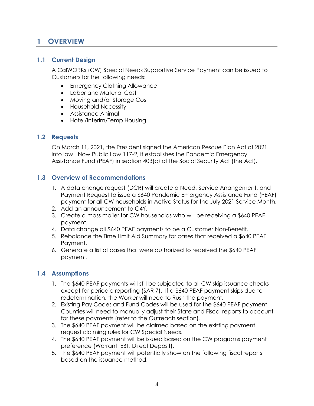## <span id="page-20-0"></span>**1 OVERVIEW**

#### <span id="page-20-1"></span>**1.1 Current Design**

A CalWORKs (CW) Special Needs Supportive Service Payment can be issued to Customers for the following needs:

- Emergency Clothing Allowance
- Labor and Material Cost
- Moving and/or Storage Cost
- Household Necessity
- Assistance Animal
- Hotel/Interim/Temp Housing

#### <span id="page-20-2"></span>**1.2 Requests**

On March 11, 2021, the President signed the American Rescue Plan Act of 2021 into law. Now Public Law 117-2, it establishes the Pandemic Emergency Assistance Fund (PEAF) in section 403(c) of the Social Security Act (the Act).

#### <span id="page-20-3"></span>**1.3 Overview of Recommendations**

- 1. A data change request (DCR) will create a Need, Service Arrangement, and Payment Request to issue a \$640 Pandemic Emergency Assistance Fund (PEAF) payment for all CW households in Active Status for the July 2021 Service Month.
- 2. Add an announcement to C4Y.
- 3. Create a mass mailer for CW households who will be receiving a \$640 PEAF payment.
- 4. Data change all \$640 PEAF payments to be a Customer Non-Benefit.
- 5. Rebalance the Time Limit Aid Summary for cases that received a \$640 PEAF Payment.
- 6. Generate a list of cases that were authorized to received the \$640 PEAF payment.

#### <span id="page-20-4"></span>**1.4 Assumptions**

- 1. The \$640 PEAF payments will still be subjected to all CW skip issuance checks except for periodic reporting (SAR 7). If a \$640 PEAF payment skips due to redetermination, the Worker will need to Rush the payment.
- 2. Existing Pay Codes and Fund Codes will be used for the \$640 PEAF payment. Counties will need to manually adjust their State and Fiscal reports to account for these payments (refer to the Outreach section).
- 3. The \$640 PEAF payment will be claimed based on the existing payment request claiming rules for CW Special Needs.
- 4. The \$640 PEAF payment will be issued based on the CW programs payment preference (Warrant, EBT, Direct Deposit).
- 5. The \$640 PEAF payment will potentially show on the following fiscal reports based on the issuance method: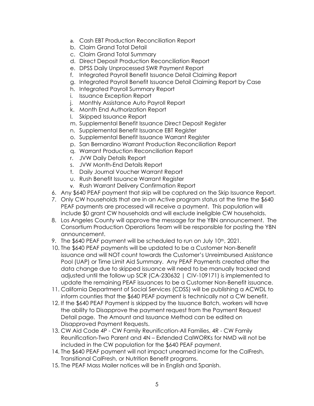- a. Cash EBT Production Reconciliation Report
- b. Claim Grand Total Detail
- c. Claim Grand Total Summary
- d. Direct Deposit Production Reconciliation Report
- e. DPSS Daily Unprocessed SWR Payment Report
- f. Integrated Payroll Benefit Issuance Detail Claiming Report
- g. Integrated Payroll Benefit Issuance Detail Claiming Report by Case
- h. Integrated Payroll Summary Report
- i. Issuance Exception Report
- j. Monthly Assistance Auto Payroll Report
- k. Month End Authorization Report
- l. Skipped Issuance Report
- m. Supplemental Benefit Issuance Direct Deposit Register
- n. Supplemental Benefit Issuance EBT Register
- o. Supplemental Benefit Issuance Warrant Register
- p. San Bernardino Warrant Production Reconciliation Report
- q. Warrant Production Reconciliation Report
- r. JVW Daily Details Report
- s. JVW Month-End Details Report
- t. Daily Journal Voucher Warrant Report
- u. Rush Benefit Issuance Warrant Register
- v. Rush Warrant Delivery Confirmation Report
- 6. Any \$640 PEAF payment that skip will be captured on the Skip Issuance Report.
- 7. Only CW households that are in an Active program status at the time the \$640 PEAF payments are processed will receive a payment. This population will include \$0 grant CW households and will exclude ineligible CW households.
- 8. Los Angeles County will approve the message for the YBN announcement. The Consortium Production Operations Team will be responsible for posting the YBN announcement.
- 9. The \$640 PEAF payment will be scheduled to run on July 10<sup>th</sup>, 2021.
- 10. The \$640 PEAF payments will be updated to be a Customer Non-Benefit issuance and will NOT count towards the Customer's Unreimbursed Assistance Pool (UAP) or Time Limit Aid Summary. Any PEAF Payments created after the data change due to skipped issuance will need to be manually tracked and adjusted until the follow up SCR (CA-230632 | CIV-109171) is implemented to update the remaining PEAF issuances to be a Customer Non-Benefit issuance.
- 11. California Department of Social Services (CDSS) will be publishing a ACWDL to inform counties that the \$640 PEAF payment is technically not a CW benefit.
- 12. If the \$640 PEAF Payment is skipped by the Issuance Batch, workers will have the ability to Disapprove the payment request from the Payment Request Detail page. The Amount and Issuance Method can be edited on Disapproved Payment Requests.
- 13. CW Aid Code 4P CW Family Reunification-All Families, 4R CW Family Reunification-Two Parent and 4N – Extended CalWORKs for NMD will not be included in the CW population for the \$640 PEAF payment.
- 14. The \$640 PEAF payment will not impact unearned income for the CalFresh, Transitional CalFresh, or Nutrition Benefit programs.
- 15. The PEAF Mass Mailer notices will be in English and Spanish.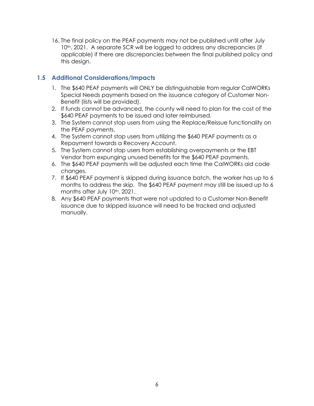16. The final policy on the PEAF payments may not be published until after July 10<sup>th</sup>, 2021. A separate SCR will be logged to address any discrepancies (if applicable) if there are discrepancies between the final published policy and this design.

#### <span id="page-22-0"></span>**1.5 Additional Considerations/Impacts**

- 1. The \$640 PEAF payments will ONLY be distinguishable from regular CalWORKs Special Needs payments based on the issuance category of Customer Non-Benefit (lists will be provided).
- 2. If funds cannot be advanced, the county will need to plan for the cost of the \$640 PEAF payments to be issued and later reimbursed.
- 3. The System cannot stop users from using the Replace/Reissue functionality on the PEAF payments.
- 4. The System cannot stop users from utilizing the \$640 PEAF payments as a Repayment towards a Recovery Account.
- 5. The System cannot stop users from establishing overpayments or the EBT Vendor from expunging unused benefits for the \$640 PEAF payments.
- 6. The \$640 PEAF payments will be adjusted each time the CalWORKs aid code changes.
- 7. If \$640 PEAF payment is skipped during issuance batch, the worker has up to 6 months to address the skip. The \$640 PEAF payment may still be issued up to 6 months after July 10<sup>th</sup>, 2021.
- 8. Any \$640 PEAF payments that were not updated to a Customer Non-Benefit issuance due to skipped issuance will need to be tracked and adjusted manually.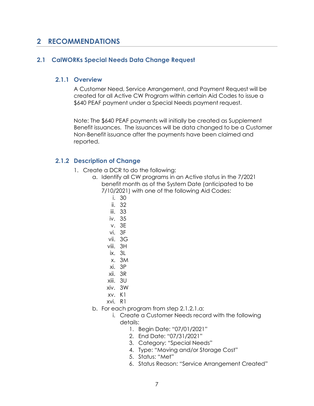## <span id="page-23-0"></span>**2 RECOMMENDATIONS**

#### <span id="page-23-2"></span><span id="page-23-1"></span>**2.1 CalWORKs Special Needs Data Change Request**

#### **2.1.1 Overview**

A Customer Need, Service Arrangement, and Payment Request will be created for all Active CW Program within certain Aid Codes to issue a \$640 PEAF payment under a Special Needs payment request.

Note: The \$640 PEAF payments will initially be created as Supplement Benefit issuances. The issuances will be data changed to be a Customer Non-Benefit issuance after the payments have been claimed and reported.

#### <span id="page-23-3"></span>**2.1.2 Description of Change**

- 1. Create a DCR to do the following:
	- a. Identify all CW programs in an Active status in the 7/2021 benefit month as of the System Date (anticipated to be 7/10/2021) with one of the following Aid Codes:
		- i. 30
		- ii. 32
		- iii. 33
		- iv. 35
		- v. 3E
		- vi. 3F
		- vii. 3G
		- viii. 3H
		- $ix$ . 31
		- x. 3M
		- xi. 3P
		- xii. 3R
		- xiii. 3U
		- xiv. 3W
		- xv. K1
		- xvi. R1
	- b. For each program from step 2.1.2.1.a:
		- i. Create a Customer Needs record with the following details:
			- 1. Begin Date: "07/01/2021"
			- 2. End Date: "07/31/2021"
			- 3. Category: "Special Needs"
			- 4. Type: "Moving and/or Storage Cost"
			- 5. Status: "Met"
			- 6. Status Reason: "Service Arrangement Created"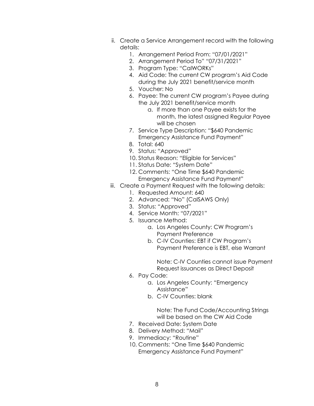- ii. Create a Service Arrangement record with the following details:
	- 1. Arrangement Period From: "07/01/2021"
	- 2. Arrangement Period To" "07/31/2021"
	- 3. Program Type: "CalWORKs"
	- 4. Aid Code: The current CW program's Aid Code during the July 2021 benefit/service month
	- 5. Voucher: No
	- 6. Payee: The current CW program's Payee during the July 2021 benefit/service month
		- a. If more than one Payee exists for the month, the latest assigned Regular Payee will be chosen
	- 7. Service Type Description: "\$640 Pandemic Emergency Assistance Fund Payment"
	- 8. Total: 640
	- 9. Status: "Approved"
	- 10. Status Reason: "Eligible for Services"
	- 11. Status Date: "System Date"
	- 12. Comments: "One Time \$640 Pandemic Emergency Assistance Fund Payment"
- iii. Create a Payment Request with the following details:
	- 1. Requested Amount: 640
	- 2. Advanced: "No" (CalSAWS Only)
	- 3. Status: "Approved"
	- 4. Service Month: "07/2021"
	- 5. Issuance Method:
		- a. Los Angeles County: CW Program's Payment Preference
			- b. C-IV Counties: EBT if CW Program's Payment Preference is EBT, else Warrant

Note: C-IV Counties cannot issue Payment Request issuances as Direct Deposit

- 6. Pay Code:
	- a. Los Angeles County: "Emergency Assistance"
	- b. C-IV Counties: blank

Note: The Fund Code/Accounting Strings will be based on the CW Aid Code

- 7. Received Date: System Date
- 8. Delivery Method: "Mail"
- 9. Immediacy: "Routine"
- 10. Comments: "One Time \$640 Pandemic Emergency Assistance Fund Payment"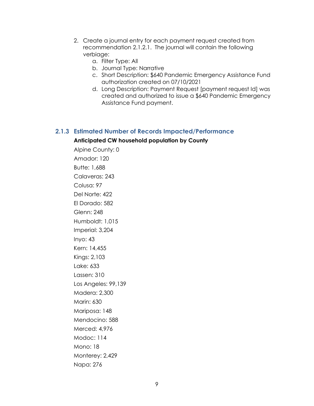- 2. Create a journal entry for each payment request created from recommendation 2.1.2.1. The journal will contain the following verbiage:
	- a. Filter Type: All
	- b. Journal Type: Narrative
	- c. Short Description: \$640 Pandemic Emergency Assistance Fund authorization created on 07/10/2021
	- d. Long Description: Payment Request [payment request Id] was created and authorized to issue a \$640 Pandemic Emergency Assistance Fund payment.

#### <span id="page-25-0"></span>**2.1.3 Estimated Number of Records Impacted/Performance Anticipated CW household population by County**

Alpine County: 0 Amador: 120 Butte: 1,688 Calaveras: 243 Colusa: 97 Del Norte: 422 El Dorado: 582 Glenn: 248 Humboldt: 1,015 Imperial: 3,204 Inyo: 43 Kern: 14,455 Kings: 2,103 Lake: 633 Lassen: 310 Los Angeles: 99,139 Madera: 2,300 Marin: 630 Mariposa: 148 Mendocino: 588 Merced: 4,976 Modoc: 114 Mono: 18 Monterey: 2,429 Napa: 276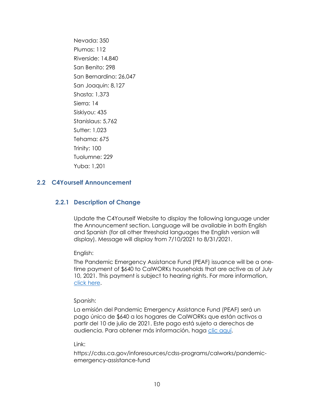Nevada: 350 Plumas: 112 Riverside: 14,840 San Benito: 298 San Bernardino: 26,047 San Joaquin: 8,127 Shasta: 1,373 Sierra: 14 Siskiyou: 435 Stanislaus: 5,762 Sutter: 1,023 Tehama: 675 Trinity: 100 Tuolumne: 229 Yuba: 1,201

#### <span id="page-26-1"></span><span id="page-26-0"></span>**2.2 C4Yourself Announcement**

#### **2.2.1 Description of Change**

Update the C4Yourself Website to display the following language under the Announcement section. Language will be available in both English and Spanish (for all other threshold languages the English version will display). Message will display from 7/10/2021 to 8/31/2021.

English:

The Pandemic Emergency Assistance Fund (PEAF) issuance will be a onetime payment of \$640 to CalWORKs households that are active as of July 10, 2021. This payment is subject to hearing rights. For more information, [click here.](https://cdss.ca.gov/inforesources/cdss-programs/calworks/pandemic-emergency-assistance-fund)

Spanish:

La emisión del Pandemic Emergency Assistance Fund (PEAF) será un pago único de \$640 a los hogares de CalWORKs que están activos a partir del 10 de julio de 2021. Este pago está sujeto a derechos de audiencia. Para obtener más información, haga [clic aquí.](https://cdss.ca.gov/inforesources/cdss-programs/calworks/pandemic-emergency-assistance-fund)

Link:

https://cdss.ca.gov/inforesources/cdss-programs/calworks/pandemicemergency-assistance-fund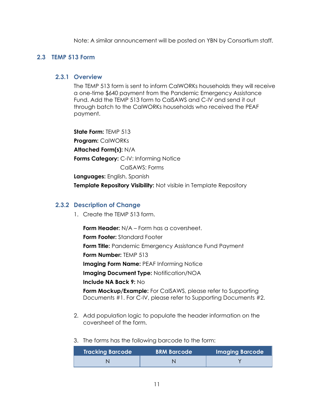Note: A similar announcement will be posted on YBN by Consortium staff.

#### <span id="page-27-1"></span><span id="page-27-0"></span>**2.3 TEMP 513 Form**

#### **2.3.1 Overview**

The TEMP 513 form is sent to inform CalWORKs households they will receive a one-time \$640 payment from the Pandemic Emergency Assistance Fund. Add the TEMP 513 form to CalSAWS and C-IV and send it out through batch to the CalWORKs households who received the PEAF payment.

**State Form:** TEMP 513 **Program:** CalWORKs **Attached Form(s):** N/A **Forms Category:** C-IV: Informing Notice CalSAWS: Forms **Languages:** English, Spanish **Template Repository Visibility:** Not visible in Template Repository

#### <span id="page-27-2"></span>**2.3.2 Description of Change**

1. Create the TEMP 513 form.

**Form Header:** N/A – Form has a coversheet. **Form Footer:** Standard Footer **Form Title:** Pandemic Emergency Assistance Fund Payment **Form Number:** TEMP 513 **Imaging Form Name:** PEAF Informing Notice **Imaging Document Type:** Notification/NOA **Include NA Back 9:** No **Form Mockup/Example:** For CalSAWS, please refer to Supporting Documents #1. For C-IV, please refer to Supporting Documents #2.

2. Add population logic to populate the header information on the coversheet of the form.

#### 3. The forms has the following barcode to the form:

| <b>Tracking Barcode</b> | <b>BRM Barcode</b> | <b>Imaging Barcode</b> |
|-------------------------|--------------------|------------------------|
|                         |                    |                        |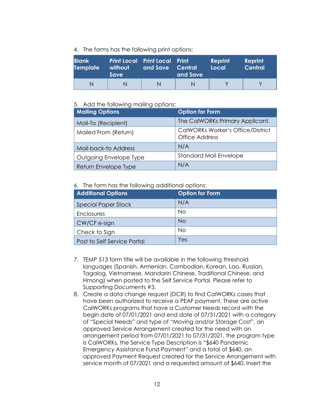4. The forms has the following print options:

| <b>Blank</b>    | without | <b>Print Local Print Local Print</b> | and Save | Reprint | Reprint        |
|-----------------|---------|--------------------------------------|----------|---------|----------------|
| <b>Template</b> | Save    | and Save Central                     |          | Local   | <b>Central</b> |
| N               |         | N                                    |          |         |                |

#### 5. Add the following mailing options:

| <b>Mailing Options</b> | <b>Option for Form</b>                                            |
|------------------------|-------------------------------------------------------------------|
| Mail-To (Recipient)    | The CalWORKs Primary Applicant.                                   |
| Mailed From (Return)   | <b>CalWORKs Worker's Office/District</b><br><b>Office Address</b> |
| Mail-back-to Address   | N/A                                                               |
| Outgoing Envelope Type | <b>Standard Mail Envelope</b>                                     |
| Return Envelope Type   | N/A                                                               |

#### 6. The form has the following additional options:

| <b>Additional Options</b>   | <b>Option for Form</b> |
|-----------------------------|------------------------|
| <b>Special Paper Stock</b>  | N/A                    |
| Enclosures                  | No                     |
| $\vert$ CW/CF e-sign        | <b>No</b>              |
| Check to Sign               | No                     |
| Post to Self Service Portal | Yes                    |

- 7. TEMP 513 form title will be available in the following threshold languages (Spanish, Armenian, Cambodian, Korean, Lao, Russian, Tagalog, Vietnamese, Mandarin Chinese, Traditional Chinese, and Hmong) when posted to the Self Service Portal. Please refer to Supporting Documents #3.
- 8. Create a data change request (DCR) to find CalWORKs cases that have been authorized to receive a PEAF payment. These are active CalWORKs programs that have a Customer Needs record with the begin date of 07/01/2021 and end date of 07/31/2021 with a category of "Special Needs" and type of "Moving and/or Storage Cost", an approved Service Arrangement created for the need with an arrangement period from 07/01/2021 to 07/31/2021, the program type is CalWORKs, the Service Type Description is "\$640 Pandemic Emergency Assistance Fund Payment" and a total of \$640, an approved Payment Request created for the Service Arrangement with service month of 07/2021 and a requested amount of \$640. Insert the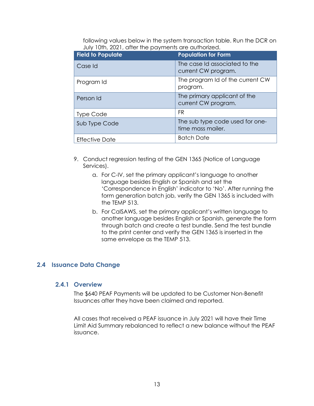following values below in the system transaction table. Run the DCR on July 10th, 2021, after the payments are authorized.

| <b>Field to Populate</b> | <b>Population for Form</b>                           |
|--------------------------|------------------------------------------------------|
| Case Id                  | The case Id associated to the<br>current CW program. |
| Program Id               | The program Id of the current CW<br>program.         |
| Person Id                | The primary applicant of the<br>current CW program.  |
| Type Code                | <b>FR</b>                                            |
| Sub Type Code            | The sub type code used for one-<br>time mass mailer. |
| <b>Effective Date</b>    | <b>Batch Date</b>                                    |

- 9. Conduct regression testing of the GEN 1365 (Notice of Language Services).
	- a. For C-IV, set the primary applicant's language to another language besides English or Spanish and set the 'Correspondence in English' indicator to 'No'. After running the form generation batch job, verify the GEN 1365 is included with the TEMP 513.
	- b. For CalSAWS, set the primary applicant's written language to another language besides English or Spanish, generate the form through batch and create a test bundle. Send the test bundle to the print center and verify the GEN 1365 is inserted in the same envelope as the TEMP 513.

#### <span id="page-29-1"></span><span id="page-29-0"></span>**2.4 Issuance Data Change**

#### **2.4.1 Overview**

The \$640 PEAF Payments will be updated to be Customer Non-Benefit Issuances after they have been claimed and reported.

All cases that received a PEAF issuance in July 2021 will have their Time Limit Aid Summary rebalanced to reflect a new balance without the PEAF issuance.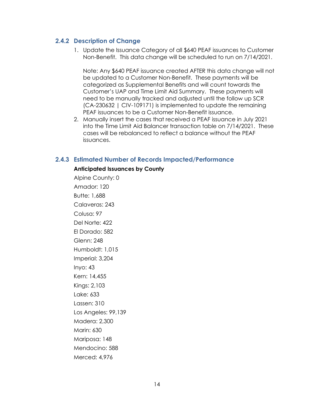#### <span id="page-30-0"></span>**2.4.2 Description of Change**

1. Update the Issuance Category of all \$640 PEAF issuances to Customer Non-Benefit. This data change will be scheduled to run on 7/14/2021.

Note: Any \$640 PEAF issuance created AFTER this data change will not be updated to a Customer Non-Benefit. These payments will be categorized as Supplemental Benefits and will count towards the Customer's UAP and Time Limit Aid Summary. These payments will need to be manually tracked and adjusted until the follow up SCR (CA-230632 | CIV-109171) is implemented to update the remaining PEAF issuances to be a Customer Non-Benefit issuance.

2. Manually insert the cases that received a PEAF issuance in July 2021 into the Time Limit Aid Balancer transaction table on 7/14/2021. These cases will be rebalanced to reflect a balance without the PEAF issuances.

#### <span id="page-30-1"></span>**2.4.3 Estimated Number of Records Impacted/Performance**

#### **Anticipated Issuances by County**

Alpine County: 0 Amador: 120 Butte: 1,688 Calaveras: 243 Colusa: 97 Del Norte: 422 El Dorado: 582 Glenn: 248 Humboldt: 1,015 Imperial: 3,204 Inyo: 43 Kern: 14,455 Kings: 2,103 Lake: 633 Lassen: 310 Los Angeles: 99,139 Madera: 2,300 Marin: 630 Mariposa: 148 Mendocino: 588 Merced: 4,976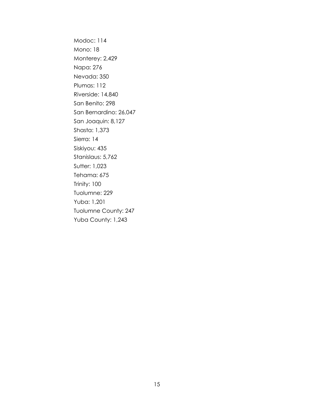Modoc: 114 Mono: 18 Monterey: 2,429 Napa: 276 Nevada: 350 Plumas: 112 Riverside: 14,840 San Benito: 298 San Bernardino: 26,047 San Joaquin: 8,127 Shasta: 1,373 Sierra: 14 Siskiyou: 435 Stanislaus: 5,762 Sutter: 1,023 Tehama: 675 Trinity: 100 Tuolumne: 229 Yuba: 1,201 Tuolumne County: 247 Yuba County: 1,243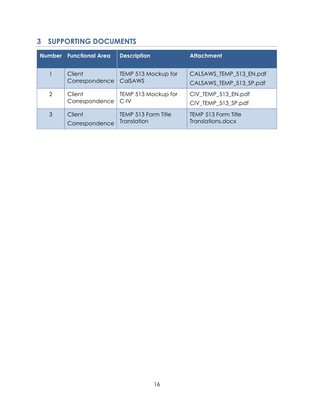## <span id="page-32-0"></span>**3 SUPPORTING DOCUMENTS**

|   | <b>Number</b> Functional Area | <b>Description</b>  | <b>Attachment</b>       |
|---|-------------------------------|---------------------|-------------------------|
|   | Client                        | TEMP 513 Mockup for | CALSAWS_TEMP_513_EN.pdf |
|   | Correspondence                | <b>CalSAWS</b>      | CALSAWS_TEMP_513_SP.pdf |
| 2 | Client                        | TEMP 513 Mockup for | CIV_TEMP_513_EN.pdf     |
|   | Correspondence                | $C$ -IV             | CIV_TEMP_513_SP.pdf     |
| 3 | Client                        | TEMP 513 Form Title | TEMP 513 Form Title     |
|   | Correspondence                | <b>Translation</b>  | Translations.docx       |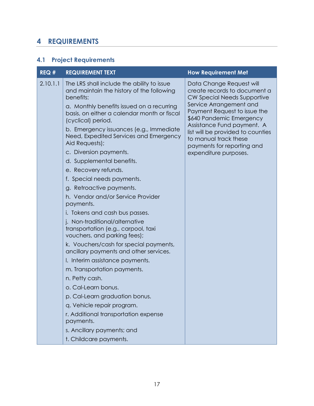## <span id="page-33-0"></span>**4 REQUIREMENTS**

## <span id="page-33-1"></span>**4.1 Project Requirements**

| REQ#     | <b>REQUIREMENT TEXT</b>                                                                                                                                                                                                                                                                                                                                                                                                                                                                                                                                                                                                                                                                                                                                                                                                                                                                                                                                                                                                                         | <b>How Requirement Met</b>                                                                                                                                                                                                                                                                                                        |
|----------|-------------------------------------------------------------------------------------------------------------------------------------------------------------------------------------------------------------------------------------------------------------------------------------------------------------------------------------------------------------------------------------------------------------------------------------------------------------------------------------------------------------------------------------------------------------------------------------------------------------------------------------------------------------------------------------------------------------------------------------------------------------------------------------------------------------------------------------------------------------------------------------------------------------------------------------------------------------------------------------------------------------------------------------------------|-----------------------------------------------------------------------------------------------------------------------------------------------------------------------------------------------------------------------------------------------------------------------------------------------------------------------------------|
| 2.10.1.1 | The LRS shall include the ability to issue<br>and maintain the history of the following<br>benefits:<br>a. Monthly benefits issued on a recurring<br>basis, on either a calendar month or fiscal<br>(cyclical) period.<br>b. Emergency issuances (e.g., Immediate<br>Need, Expedited Services and Emergency<br>Aid Requests);<br>c. Diversion payments.<br>d. Supplemental benefits.<br>e. Recovery refunds.<br>f. Special needs payments.<br>g. Retroactive payments.<br>h. Vendor and/or Service Provider<br>payments.<br>i. Tokens and cash bus passes.<br>j. Non-traditional/alternative<br>transportation (e.g., carpool, taxi<br>vouchers, and parking fees);<br>k. Vouchers/cash for special payments,<br>ancillary payments and other services.<br>I. Interim assistance payments.<br>m. Transportation payments.<br>n. Petty cash.<br>o. Cal-Learn bonus.<br>p. Cal-Learn graduation bonus.<br>q. Vehicle repair program.<br>r. Additional transportation expense<br>payments.<br>s. Ancillary payments; and<br>t. Childcare payments. | Data Change Request will<br>create records to document a<br>CW Special Needs Supportive<br>Service Arrangement and<br>Payment Request to issue the<br>\$640 Pandemic Emergency<br>Assistance Fund payment. A<br>list will be provided to counties<br>to manual track these<br>payments for reporting and<br>expenditure purposes. |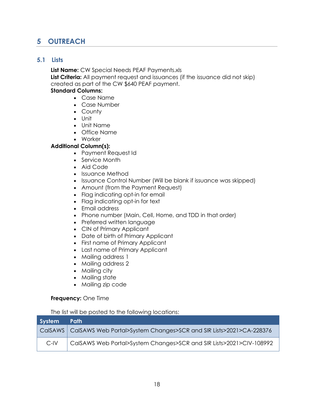## <span id="page-34-0"></span>**5 OUTREACH**

#### <span id="page-34-1"></span>**5.1 Lists**

**List Name:** CW Special Needs PEAF Payments.xls **List Criteria:** All payment request and issuances (if the issuance did not skip) created as part of the CW \$640 PEAF payment. **Standard Columns:**

- Case Name
- Case Number
- County
- Unit
- Unit Name
- Office Name
- Worker

#### **Additional Column(s):**

- Payment Request Id
- Service Month
- Aid Code
- Issuance Method
- Issuance Control Number (Will be blank if issuance was skipped)
- Amount (from the Payment Request)
- Flag indicating opt-in for email
- Flag indicating opt-in for text
- Email address
- Phone number (Main, Cell, Home, and TDD in that order)
- Preferred written language
- CIN of Primary Applicant
- Date of birth of Primary Applicant
- First name of Primary Applicant
- Last name of Primary Applicant
- Mailing address 1
- Mailing address 2
- Mailing city
- Mailing state
- Mailing zip code

#### **Frequency:** One Time

The list will be posted to the following locations:

| System Path |                                                                              |
|-------------|------------------------------------------------------------------------------|
|             | CalSAWS   CalSAWS Web Portal>System Changes>SCR and SIR Lists>2021>CA-228376 |
| $C$ -IV     | CalSAWS Web Portal>System Changes>SCR and SIR Lists>2021>CIV-108992          |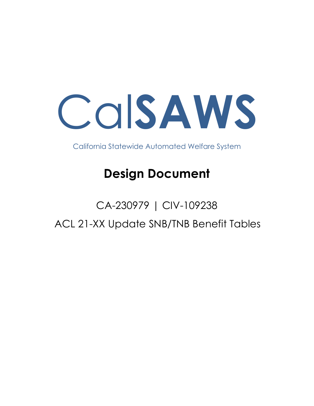Cal**SAWS**

California Statewide Automated Welfare System

# **Design Document**

# CA-230979 | CIV-109238 ACL 21-XX Update SNB/TNB Benefit Tables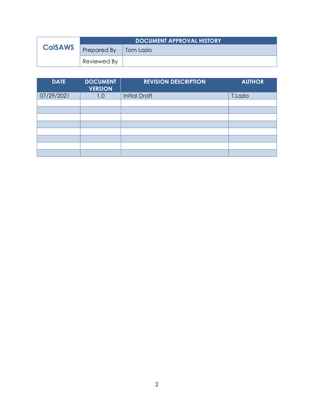| <b>CalSAWS</b> | <b>DOCUMENT APPROVAL HISTORY</b> |           |
|----------------|----------------------------------|-----------|
|                | Prepared By                      | Tom Lazio |
|                | Reviewed By                      |           |

| <b>DATE</b> | <b>DOCUMENT</b><br><b>VERSION</b> | <b>REVISION DESCRIPTION</b> | <b>AUTHOR</b> |
|-------------|-----------------------------------|-----------------------------|---------------|
| 07/29/2021  | 1.0                               | <b>Initial Draft</b>        | T.Lazio       |
|             |                                   |                             |               |
|             |                                   |                             |               |
|             |                                   |                             |               |
|             |                                   |                             |               |
|             |                                   |                             |               |
|             |                                   |                             |               |
|             |                                   |                             |               |
|             |                                   |                             |               |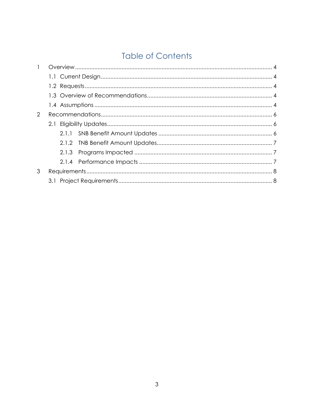## **Table of Contents**

| $\mathbf{1}$ |       |  |
|--------------|-------|--|
|              |       |  |
|              |       |  |
|              |       |  |
|              |       |  |
| 2            |       |  |
|              |       |  |
|              |       |  |
|              |       |  |
|              | 2.1.3 |  |
|              |       |  |
| 3            |       |  |
|              |       |  |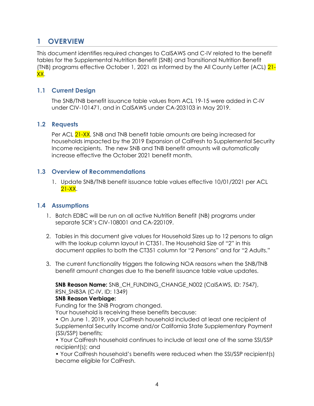### <span id="page-38-0"></span>**1 OVERVIEW**

This document identifies required changes to CalSAWS and C-IV related to the benefit tables for the Supplemental Nutrition Benefit (SNB) and Transitional Nutrition Benefit (TNB) programs effective October 1, 2021 as informed by the All County Letter (ACL) 21- XX.

#### <span id="page-38-1"></span>**1.1 Current Design**

The SNB/TNB benefit issuance table values from ACL 19-15 were added in C-IV under CIV-101471, and in CalSAWS under [CA-203103](https://change.calsaws.net/browse/CA-203103) in May 2019.

#### <span id="page-38-2"></span>**1.2 Requests**

Per ACL 21-XX, SNB and TNB benefit table amounts are being increased for households impacted by the 2019 Expansion of CalFresh to Supplemental Security Income recipients. The new SNB and TNB benefit amounts will automatically increase effective the October 2021 benefit month.

#### <span id="page-38-3"></span>**1.3 Overview of Recommendations**

1. Update SNB/TNB benefit issuance table values effective 10/01/2021 per ACL 21-XX.

#### <span id="page-38-4"></span>**1.4 Assumptions**

- 1. Batch EDBC will be run on all active Nutrition Benefit (NB) programs under separate SCR's CIV-108001 and CA-220109.
- 2. Tables in this document give values for Household Sizes up to 12 persons to align with the lookup column layout in CT351. The Household Size of "2" in this document applies to both the CT351 column for "2 Persons" and for "2 Adults."
- 3. The current functionality triggers the following NOA reasons when the SNB/TNB benefit amount changes due to the benefit issuance table value updates.

**SNB Reason Name:** SNB\_CH\_FUNDING\_CHANGE\_N002 (CalSAWS, ID: 7547), RSN\_SNB3A (C-IV, ID: 1349)

#### **SNB Reason Verbiage:**

Funding for the SNB Program changed.

Your household is receiving these benefits because:

• On June 1, 2019, your CalFresh household included at least one recipient of Supplemental Security Income and/or California State Supplementary Payment (SSI/SSP) benefits;

• Your CalFresh household continues to include at least one of the same SSI/SSP recipient(s); and

• Your CalFresh household's benefits were reduced when the SSI/SSP recipient(s) became eligible for CalFresh.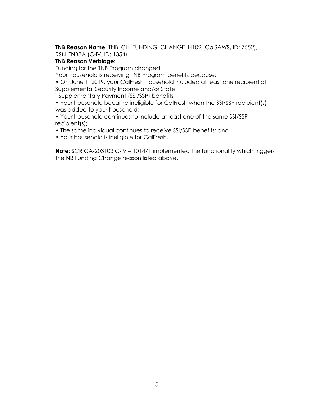**TNB Reason Name:** TNB\_CH\_FUNDING\_CHANGE\_N102 (CalSAWS, ID: 7552), RSN\_TNB3A (C-IV, ID: 1354)

#### **TNB Reason Verbiage:**

Funding for the TNB Program changed.

Your household is receiving TNB Program benefits because:

• On June 1, 2019, your CalFresh household included at least one recipient of Supplemental Security Income and/or State

Supplementary Payment (SSI/SSP) benefits;

• Your household became ineligible for CalFresh when the SSI/SSP recipient(s) was added to your household;

• Your household continues to include at least one of the same SSI/SSP recipient(s);

• The same individual continues to receive SSI/SSP benefits; and

• Your household is ineligible for CalFresh.

**Note:** SCR CA-203103 C-IV – 101471 implemented the functionality which triggers the NB Funding Change reason listed above.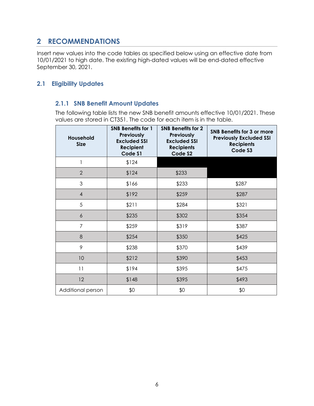## <span id="page-40-0"></span>**2 RECOMMENDATIONS**

Insert new values into the code tables as specified below using an effective date from 10/01/2021 to high date. The existing high-dated values will be end-dated effective September 30, 2021.

#### <span id="page-40-2"></span><span id="page-40-1"></span>**2.1 Eligibility Updates**

#### **2.1.1 SNB Benefit Amount Updates**

The following table lists the new SNB benefit amounts effective 10/01/2021. These values are stored in CT351. The code for each item is in the table.

| <b>Household</b><br><b>Size</b> | <b>SNB Benefits for 1</b><br>Previously<br><b>Excluded SSI</b><br><b>Recipient</b><br>Code \$1 | <b>SNB Benefits for 2</b><br>Previously<br><b>Excluded SSI</b><br><b>Recipients</b><br>Code S2 | SNB Benefits for 3 or more<br><b>Previously Excluded SSI</b><br><b>Recipients</b><br>Code S3 |
|---------------------------------|------------------------------------------------------------------------------------------------|------------------------------------------------------------------------------------------------|----------------------------------------------------------------------------------------------|
| 1                               | \$124                                                                                          |                                                                                                |                                                                                              |
| $\overline{2}$                  | \$124                                                                                          | \$233                                                                                          |                                                                                              |
| 3                               | \$166                                                                                          | \$233                                                                                          | \$287                                                                                        |
| 4                               | \$192                                                                                          | \$259                                                                                          | \$287                                                                                        |
| 5                               | \$211                                                                                          | \$284                                                                                          | \$321                                                                                        |
| 6                               | \$235                                                                                          | \$302                                                                                          | \$354                                                                                        |
| $\overline{7}$                  | \$259                                                                                          | \$319                                                                                          | \$387                                                                                        |
| 8                               | \$254                                                                                          | \$350                                                                                          | \$425                                                                                        |
| 9                               | \$238                                                                                          | \$370                                                                                          | \$439                                                                                        |
| 10                              | \$212                                                                                          | \$390                                                                                          | \$453                                                                                        |
| 11                              | \$194                                                                                          | \$395                                                                                          | \$475                                                                                        |
| 12                              | \$148                                                                                          | \$395                                                                                          | \$493                                                                                        |
| Additional person               | \$0                                                                                            | \$0                                                                                            | \$0                                                                                          |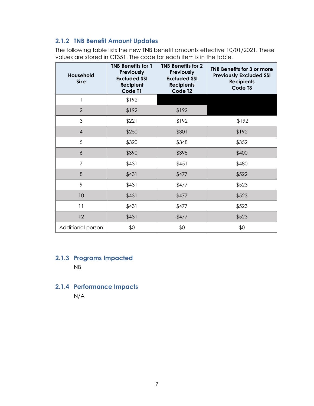#### <span id="page-41-0"></span>**2.1.2 TNB Benefit Amount Updates**

The following table lists the new TNB benefit amounts effective 10/01/2021. These values are stored in CT351. The code for each item is in the table.

| Household<br><b>Size</b> | <b>TNB Benefits for 1</b><br>Previously<br><b>Excluded SSI</b><br>Recipient<br>Code T1 | <b>TNB Benefits for 2</b><br>Previously<br><b>Excluded SSI</b><br><b>Recipients</b><br>Code T <sub>2</sub> | <b>TNB Benefits for 3 or more</b><br><b>Previously Excluded SSI</b><br><b>Recipients</b><br>Code T3 |
|--------------------------|----------------------------------------------------------------------------------------|------------------------------------------------------------------------------------------------------------|-----------------------------------------------------------------------------------------------------|
| 1                        | \$192                                                                                  |                                                                                                            |                                                                                                     |
| 2                        | \$192                                                                                  | \$192                                                                                                      |                                                                                                     |
| 3                        | \$221                                                                                  | \$192                                                                                                      | \$192                                                                                               |
| $\overline{4}$           | \$250                                                                                  | \$301                                                                                                      | \$192                                                                                               |
| 5                        | \$320                                                                                  | \$348                                                                                                      | \$352                                                                                               |
| $\boldsymbol{6}$         | \$390                                                                                  | \$395                                                                                                      | \$400                                                                                               |
| $\overline{7}$           | \$431                                                                                  | \$451                                                                                                      | \$480                                                                                               |
| 8                        | \$431                                                                                  | \$477                                                                                                      | \$522                                                                                               |
| 9                        | \$431                                                                                  | \$477                                                                                                      | \$523                                                                                               |
| 10                       | \$431                                                                                  | \$477                                                                                                      | \$523                                                                                               |
| 11                       | \$431                                                                                  | \$477                                                                                                      | \$523                                                                                               |
| 12                       | \$431                                                                                  | \$477                                                                                                      | \$523                                                                                               |
| Additional person        | \$0                                                                                    | \$0                                                                                                        | \$0                                                                                                 |

## <span id="page-41-1"></span>**2.1.3 Programs Impacted**

NB

#### <span id="page-41-2"></span>**2.1.4 Performance Impacts** N/A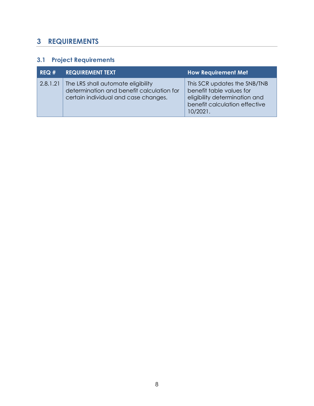## <span id="page-42-0"></span>**3 REQUIREMENTS**

## <span id="page-42-1"></span>**3.1 Project Requirements**

| REQ# | <b>REQUIREMENT TEXT</b>                                                                                                            | <b>How Requirement Met</b>                                                                                                             |
|------|------------------------------------------------------------------------------------------------------------------------------------|----------------------------------------------------------------------------------------------------------------------------------------|
|      | 2.8.1.21   The LRS shall automate eligibility<br>determination and benefit calculation for<br>certain individual and case changes. | This SCR updates the SNB/TNB<br>benefit table values for<br>eligibility determination and<br>benefit calculation effective<br>10/2021. |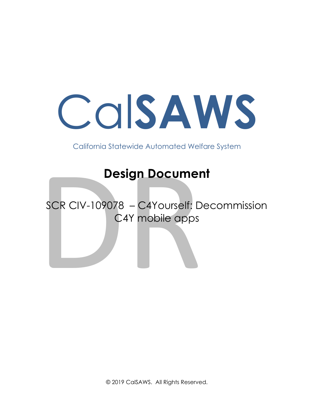# Cal**SAWS**

California Statewide Automated Welfare System

# **Design Document**

Design Documer<br>SCR CIV-109078 – C4Yourself: D<br>C4Y mobile apps SCR CIV-109078 – C4Yourself: Decommission C4Y mobile apps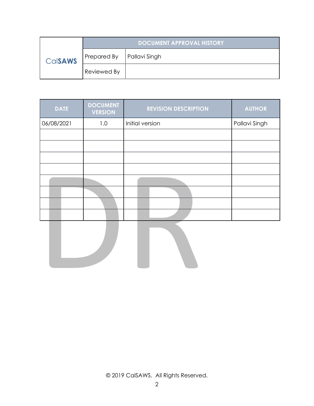|                | DOCUMENT APPROVAL HISTORY   |  |  |
|----------------|-----------------------------|--|--|
| <b>CalsAWS</b> | Prepared By   Pallavi Singh |  |  |
|                | Reviewed By                 |  |  |

| <b>DATE</b> | <b>DOCUMENT</b><br><b>VERSION</b> | <b>REVISION DESCRIPTION</b> | <b>AUTHOR</b> |
|-------------|-----------------------------------|-----------------------------|---------------|
| 06/08/2021  | 1.0                               | Initial version             | Pallavi Singh |
|             |                                   |                             |               |
|             |                                   |                             |               |
|             |                                   |                             |               |
|             |                                   |                             |               |
|             |                                   |                             |               |
|             |                                   |                             |               |
|             |                                   |                             |               |
|             |                                   |                             |               |

DR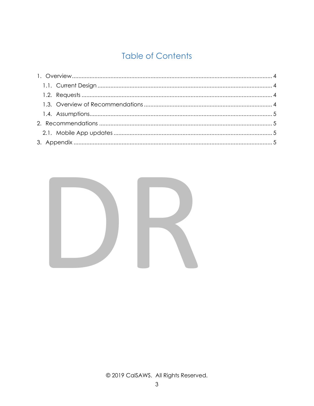## **Table of Contents**

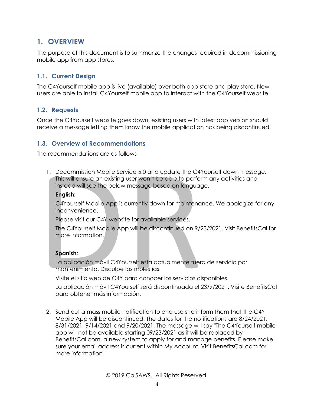## **1. OVERVIEW**

The purpose of this document is to summarize the changes required in decommissioning mobile app from app stores.

#### **1.1. Current Design**

The C4Yourself mobile app is live (available) over both app store and play store. New users are able to install C4Yourself mobile app to interact with the C4Yourself website.

#### **1.2. Requests**

Once the C4Yourself website goes down, existing users with latest app version should receive a message letting them know the mobile application has being discontinued.

#### **1.3. Overview of Recommendations**

The recommendations are as follows –

1. Decommission Mobile Service 5.0 and update the C4Y<br>
This will ensure an existing user won't be able to perform<br>
instead will see the below message based on languag<br> **English:**<br>
C4Yourself Mobile App is currently down fo 1. Decommission Mobile Service 5.0 and update the C4Yourself down message. This will ensure an existing user won't be able to perform any activities and instead will see the below message based on language.

#### **English:**

C4Yourself Mobile App is currently down for maintenance. We apologize for any inconvenience.

Please visit our C4Y website for available services.

The C4Yourself Mobile App will be discontinued on 9/23/2021. Visit BenefitsCal for more information.

#### **Spanish:**

La aplicación móvil C4Yourself está actualmente fuera de servicio por mantenimiento. Disculpe las molestias.

Visite el sitio web de C4Y para conocer los servicios disponibles.

La aplicación móvil C4Yourself será discontinuada el 23/9/2021. Visite BenefitsCal para obtener más información.

2. Send out a mass mobile notification to end users to inform them that the C4Y Mobile App will be discontinued. The dates for the notifications are 8/24/2021, 8/31/2021, 9/14/2021 and 9/20/2021. The message will say "The C4Yourself mobile app will not be available starting 09/23/2021 as it will be replaced by BenefitsCal.com, a new system to apply for and manage benefits. Please make sure your email address is current within My Account. Visit BenefitsCal.com for more information".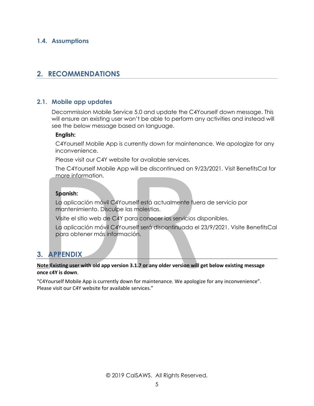#### **1.4. Assumptions**

## **2. RECOMMENDATIONS**

#### **2.1. Mobile app updates**

Decommission Mobile Service 5.0 and update the C4Yourself down message. This will ensure an existing user won't be able to perform any activities and instead will see the below message based on language.

#### **English:**

C4Yourself Mobile App is currently down for maintenance. We apologize for any inconvenience.

Please visit our C4Y website for available services.

The C4Yourself Mobile App will be discontinued on 9/23/2021. Visit BenefitsCal for more information.

#### **Spanish:**

La aplicación móvil C4Yourself está actualmente fuera de servicio por mantenimiento. Disculpe las molestias.

Visite el sitio web de C4Y para conocer los servicios disponibles.

La aplicación móvil C4Yourself será discontinuada el 23/9/2021. Visite BenefitsCal para obtener más información.

## **3. APPENDIX**

# Please visit our C4Y website tor available services.<br>
The C4Yourself Mobile App will be discontinued on 9/2<br>
more information.<br> **Spanish:**<br>
La aplicación móvil C4Yourself está actualmente fuera<br>
mantenimiento. Disculpe las **Note:Existing user with old app version 3.1.7 or any older version will get below existing message once c4Y is down**.

 "C4Yourself Mobile App is currently down for maintenance. We apologize for any inconvenience". Please visit our C4Y website for available services."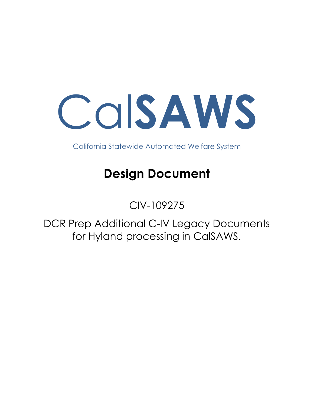Cal**SAWS**

California Statewide Automated Welfare System

# **Design Document**

## CIV-109275

DCR Prep Additional C-IV Legacy Documents for Hyland processing in CalSAWS.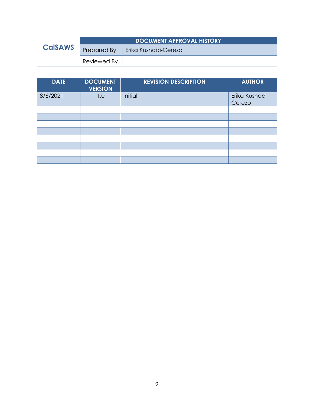|                | <b>DOCUMENT APPROVAL HISTORY</b> |                      |
|----------------|----------------------------------|----------------------|
| <b>CalSAWS</b> | Prepared By                      | Erika Kusnadi-Cerezo |
|                | Reviewed By                      |                      |

| <b>DATE</b> | <b>DOCUMENT</b><br><b>VERSION</b> | <b>REVISION DESCRIPTION</b> | <b>AUTHOR</b>            |
|-------------|-----------------------------------|-----------------------------|--------------------------|
| 8/6/2021    | 1.0                               | Initial                     | Erika Kusnadi-<br>Cerezo |
|             |                                   |                             |                          |
|             |                                   |                             |                          |
|             |                                   |                             |                          |
|             |                                   |                             |                          |
|             |                                   |                             |                          |
|             |                                   |                             |                          |
|             |                                   |                             |                          |
|             |                                   |                             |                          |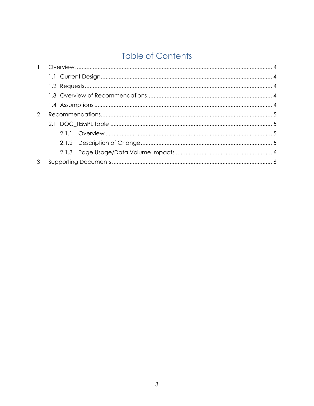## **Table of Contents**

| $\mathbf{1}$ |  |  |  |  |
|--------------|--|--|--|--|
|              |  |  |  |  |
|              |  |  |  |  |
|              |  |  |  |  |
|              |  |  |  |  |
| 2            |  |  |  |  |
|              |  |  |  |  |
|              |  |  |  |  |
|              |  |  |  |  |
|              |  |  |  |  |
|              |  |  |  |  |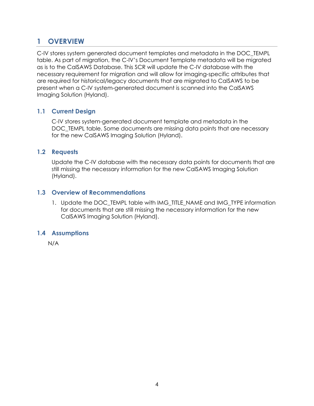## <span id="page-51-0"></span>**1 OVERVIEW**

C-IV stores system generated document templates and metadata in the DOC\_TEMPL table. As part of migration, the C-IV's Document Template metadata will be migrated as is to the CalSAWS Database. This SCR will update the C-IV database with the necessary requirement for migration and will allow for imaging-specific attributes that are required for historical/legacy documents that are migrated to CalSAWS to be present when a C-IV system-generated document is scanned into the CalSAWS Imaging Solution (Hyland).

#### <span id="page-51-1"></span>**1.1 Current Design**

C-IV stores system-generated document template and metadata in the DOC\_TEMPL table. Some documents are missing data points that are necessary for the new CalSAWS Imaging Solution (Hyland).

#### <span id="page-51-2"></span>**1.2 Requests**

Update the C-IV database with the necessary data points for documents that are still missing the necessary information for the new CalSAWS Imaging Solution (Hyland).

#### <span id="page-51-3"></span>**1.3 Overview of Recommendations**

1. Update the DOC\_TEMPL table with IMG\_TITLE\_NAME and IMG\_TYPE information for documents that are still missing the necessary information for the new CalSAWS Imaging Solution (Hyland).

#### <span id="page-51-4"></span>**1.4 Assumptions**

N/A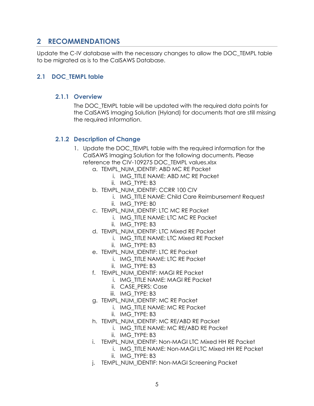## <span id="page-52-0"></span>**2 RECOMMENDATIONS**

Update the C-IV database with the necessary changes to allow the DOC\_TEMPL table to be migrated as is to the CalSAWS Database.

#### <span id="page-52-2"></span><span id="page-52-1"></span>**2.1 DOC\_TEMPL table**

#### **2.1.1 Overview**

The DOC\_TEMPL table will be updated with the required data points for the CalSAWS Imaging Solution (Hyland) for documents that are still missing the required information.

#### <span id="page-52-3"></span>**2.1.2 Description of Change**

- 1. Update the DOC TEMPL table with the required information for the CalSAWS Imaging Solution for the following documents. Please reference the CIV-109275 DOC\_TEMPL values.xlsx
	- a. TEMPL\_NUM\_IDENTIF: ABD MC RE Packet
		- i. IMG\_TITLE NAME: ABD MC RE Packet
			- ii. IMG\_TYPE: B3
	- b. TEMPL\_NUM\_IDENTIF: CCRR 100 CIV
		- i. IMG\_TITLE NAME: Child Care Reimbursement Request
		- ii. IMG\_TYPE: B0
	- c. TEMPL\_NUM\_IDENTIF: LTC MC RE Packet
		- i. IMG\_TITLE NAME: LTC MC RE Packet
			- ii. IMG\_TYPE: B3
	- d. TEMPL\_NUM\_IDENTIF: LTC Mixed RE Packet
		- i. IMG\_TITLE NAME: LTC Mixed RE Packet
		- ii. IMG\_TYPE: B3
	- e. TEMPL\_NUM\_IDENTIF: LTC RE Packet
		- i. IMG\_TITLE NAME: LTC RE Packet
			- ii. IMG\_TYPE: B3
	- f. TEMPL\_NUM\_IDENTIF: MAGI RE Packet
		- i. IMG\_TITLE NAME: MAGI RE Packet
		- ii. CASE\_PERS: Case
		- iii. IMG TYPE: B3
	- g. TEMPL\_NUM\_IDENTIF: MC RE Packet
		- i. IMG\_TITLE NAME: MC RE Packet
		- ii. IMG\_TYPE: B3
	- h. TEMPL\_NUM\_IDENTIF: MC RE/ABD RE Packet
		- i. IMG\_TITLE NAME: MC RE/ABD RE Packet
		- ii. IMG\_TYPE: B3
	- i. TEMPL\_NUM\_IDENTIF: Non-MAGI LTC Mixed HH RE Packet
		- i. IMG\_TITLE NAME: Non-MAGI LTC Mixed HH RE Packet ii. IMG\_TYPE: B3
	- j. TEMPL\_NUM\_IDENTIF: Non-MAGI Screening Packet